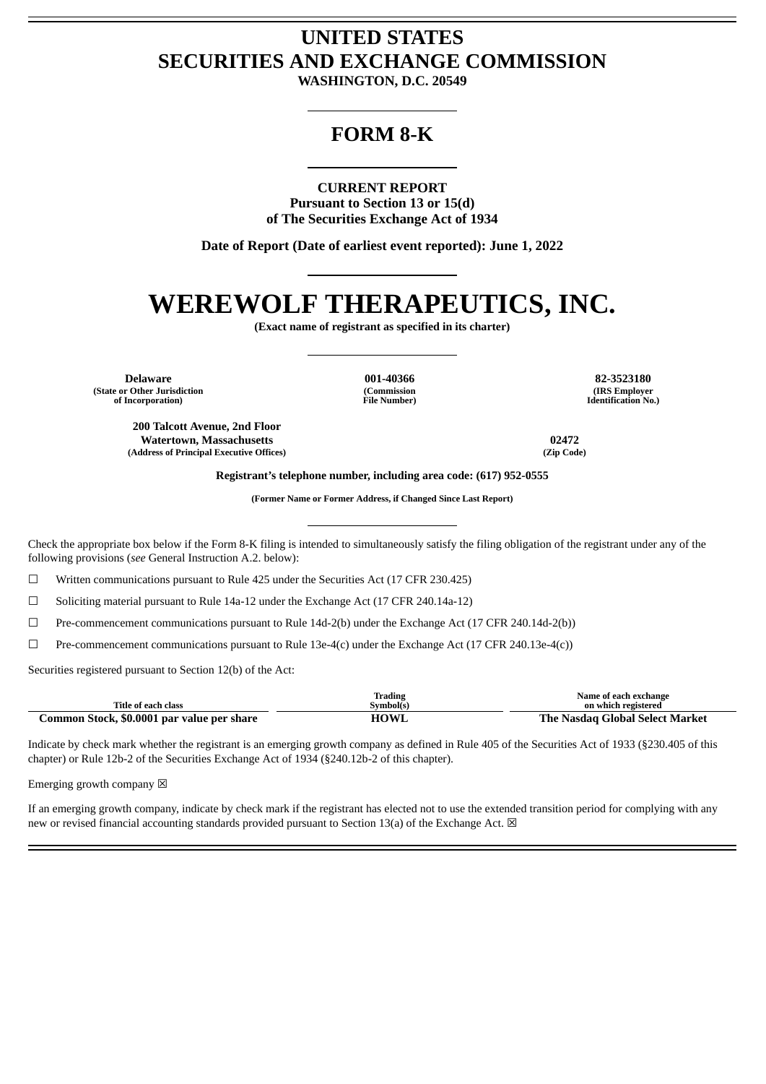## **UNITED STATES SECURITIES AND EXCHANGE COMMISSION**

**WASHINGTON, D.C. 20549**

### **FORM 8-K**

**CURRENT REPORT**

**Pursuant to Section 13 or 15(d) of The Securities Exchange Act of 1934**

**Date of Report (Date of earliest event reported): June 1, 2022**

# **WEREWOLF THERAPEUTICS, INC.**

**(Exact name of registrant as specified in its charter)**

**Delaware 001-40366 82-3523180 (State or Other Jurisdiction of Incorporation)**

**200 Talcott Avenue, 2nd Floor Watertown, Massachusetts 02472**

**(Address of Principal Executive Offices) (Zip Code)**

**(Commission File Number)**

**(IRS Employer Identification No.)**

**Registrant's telephone number, including area code: (617) 952-0555**

**(Former Name or Former Address, if Changed Since Last Report)**

Check the appropriate box below if the Form 8-K filing is intended to simultaneously satisfy the filing obligation of the registrant under any of the following provisions (*see* General Instruction A.2. below):

 $\Box$  Written communications pursuant to Rule 425 under the Securities Act (17 CFR 230.425)

☐ Soliciting material pursuant to Rule 14a-12 under the Exchange Act (17 CFR 240.14a-12)

☐ Pre-commencement communications pursuant to Rule 14d-2(b) under the Exchange Act (17 CFR 240.14d-2(b))

☐ Pre-commencement communications pursuant to Rule 13e-4(c) under the Exchange Act (17 CFR 240.13e-4(c))

Securities registered pursuant to Section 12(b) of the Act:

|                                            | Trading     | Name of each exchange           |
|--------------------------------------------|-------------|---------------------------------|
| Title of each class                        | Svmbol(s)   | on which registered             |
| Common Stock, \$0.0001 par value per share | <b>HOWL</b> | The Nasdag Global Select Market |

Indicate by check mark whether the registrant is an emerging growth company as defined in Rule 405 of the Securities Act of 1933 (§230.405 of this chapter) or Rule 12b-2 of the Securities Exchange Act of 1934 (§240.12b-2 of this chapter).

Emerging growth company  $\boxtimes$ 

If an emerging growth company, indicate by check mark if the registrant has elected not to use the extended transition period for complying with any new or revised financial accounting standards provided pursuant to Section 13(a) of the Exchange Act.  $\boxtimes$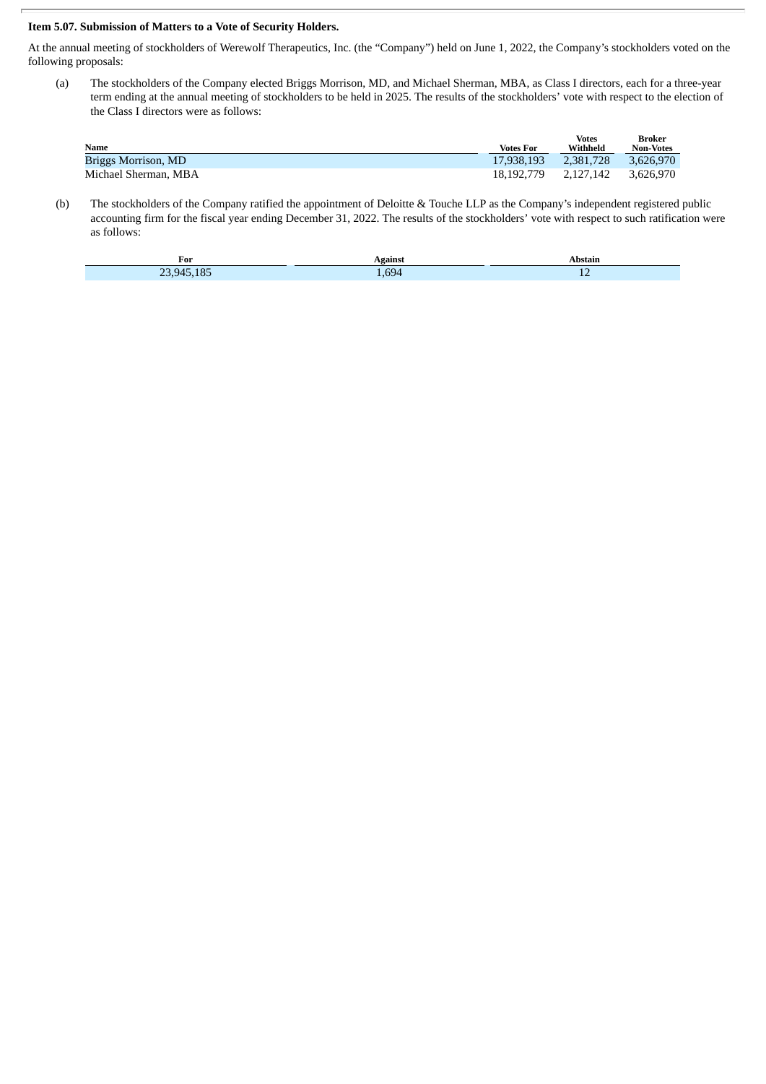#### **Item 5.07. Submission of Matters to a Vote of Security Holders.**

At the annual meeting of stockholders of Werewolf Therapeutics, Inc. (the "Company") held on June 1, 2022, the Company's stockholders voted on the following proposals:

(a) The stockholders of the Company elected Briggs Morrison, MD, and Michael Sherman, MBA, as Class I directors, each for a three-year term ending at the annual meeting of stockholders to be held in 2025. The results of the stockholders' vote with respect to the election of the Class I directors were as follows:

| Name                 | Votes For  | <b>Votes</b><br>Withheld | Broker<br><b>Non-Votes</b> |
|----------------------|------------|--------------------------|----------------------------|
| Briggs Morrison, MD  | 17.938.193 | 2,381,728                | 3.626.970                  |
| Michael Sherman, MBA | 18.192.779 | 2.127.142                | 3.626.970                  |

(b) The stockholders of the Company ratified the appointment of Deloitte & Touche LLP as the Company's independent registered public accounting firm for the fiscal year ending December 31, 2022. The results of the stockholders' vote with respect to such ratification were as follows:

| For                                        | Vgainsi | stan.                    |
|--------------------------------------------|---------|--------------------------|
| $\sim$ $\sim$ $\sim$ $\sim$ $\sim$<br>7394 | 694     | $\overline{\phantom{0}}$ |